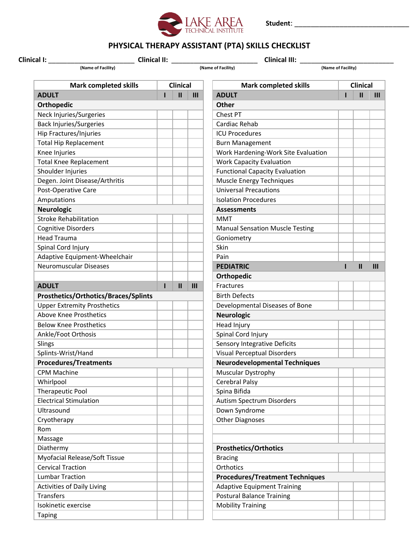

**Student**: \_\_\_\_\_\_\_\_\_\_\_\_\_\_\_\_\_\_\_\_\_\_\_\_\_\_\_\_

## **PHYSICAL THERAPY ASSISTANT (PTA) SKILLS CHECKLIST**

 **Clinical I:** \_\_\_\_\_\_\_\_\_\_\_\_\_\_\_\_\_\_\_\_\_\_\_ **Clinical II:** \_\_\_\_\_\_\_\_\_\_\_\_\_\_\_\_\_\_\_\_\_\_\_ **Clinical III:** \_\_\_\_\_\_\_\_\_\_\_\_\_\_\_\_\_\_\_\_\_\_\_\_\_

 **(Name of Facility) (Name of Facility) (Name of Facility)**

| <b>Mark completed skills</b>            |  | <b>Clinical</b> |     | <b>Mark completed skills</b>                                 | <b>Clinical</b> |  |
|-----------------------------------------|--|-----------------|-----|--------------------------------------------------------------|-----------------|--|
| <b>ADULT</b>                            |  | $\mathbf{u}$    | III | <b>ADULT</b>                                                 |                 |  |
| <b>Orthopedic</b>                       |  |                 |     | Other                                                        |                 |  |
| Neck Injuries/Surgeries                 |  |                 |     | Chest PT                                                     |                 |  |
| <b>Back Injuries/Surgeries</b>          |  |                 |     | Cardiac Rehab                                                |                 |  |
| Hip Fractures/Injuries                  |  |                 |     | <b>ICU Procedures</b>                                        |                 |  |
| <b>Total Hip Replacement</b>            |  |                 |     | <b>Burn Management</b>                                       |                 |  |
| Knee Injuries                           |  |                 |     | Work Hardening-Work Site Evaluation                          |                 |  |
| <b>Total Knee Replacement</b>           |  |                 |     | <b>Work Capacity Evaluation</b>                              |                 |  |
| Shoulder Injuries                       |  |                 |     | <b>Functional Capacity Evaluation</b>                        |                 |  |
| Degen. Joint Disease/Arthritis          |  |                 |     | Muscle Energy Techniques                                     |                 |  |
| Post-Operative Care                     |  |                 |     | <b>Universal Precautions</b>                                 |                 |  |
| Amputations                             |  |                 |     | <b>Isolation Procedures</b>                                  |                 |  |
| <b>Neurologic</b>                       |  |                 |     | <b>Assessments</b>                                           |                 |  |
| <b>Stroke Rehabilitation</b>            |  |                 |     | <b>MMT</b>                                                   |                 |  |
| <b>Cognitive Disorders</b>              |  |                 |     | <b>Manual Sensation Muscle Testing</b>                       |                 |  |
| <b>Head Trauma</b>                      |  |                 |     | Goniometry                                                   |                 |  |
| Spinal Cord Injury                      |  |                 |     | Skin                                                         |                 |  |
| Adaptive Equipment-Wheelchair           |  |                 |     | Pain                                                         |                 |  |
| <b>Neuromuscular Diseases</b>           |  |                 |     | <b>PEDIATRIC</b>                                             |                 |  |
|                                         |  |                 |     | <b>Orthopedic</b>                                            |                 |  |
| <b>ADULT</b>                            |  | $\mathbf{II}$   | III | Fractures                                                    |                 |  |
| Prosthetics/Orthotics/Braces/Splints    |  |                 |     | <b>Birth Defects</b>                                         |                 |  |
| <b>Upper Extremity Prosthetics</b>      |  |                 |     | Developmental Diseases of Bone                               |                 |  |
| <b>Above Knee Prosthetics</b>           |  |                 |     | <b>Neurologic</b>                                            |                 |  |
| <b>Below Knee Prosthetics</b>           |  |                 |     | Head Injury                                                  |                 |  |
| Ankle/Foot Orthosis                     |  |                 |     | Spinal Cord Injury                                           |                 |  |
| Slings                                  |  |                 |     | <b>Sensory Integrative Deficits</b>                          |                 |  |
| Splints-Wrist/Hand                      |  |                 |     | <b>Visual Perceptual Disorders</b>                           |                 |  |
| <b>Procedures/Treatments</b>            |  |                 |     | <b>Neurodevelopmental Techniques</b>                         |                 |  |
| <b>CPM Machine</b>                      |  |                 |     | <b>Muscular Dystrophy</b>                                    |                 |  |
| Whirlpool                               |  |                 |     | <b>Cerebral Palsy</b>                                        |                 |  |
| Therapeutic Pool                        |  |                 |     | Spina Bifida                                                 |                 |  |
| <b>Electrical Stimulation</b>           |  |                 |     | Autism Spectrum Disorders                                    |                 |  |
| Ultrasound                              |  |                 |     | Down Syndrome                                                |                 |  |
| Cryotherapy                             |  |                 |     | <b>Other Diagnoses</b>                                       |                 |  |
| Rom                                     |  |                 |     |                                                              |                 |  |
| Massage                                 |  |                 |     |                                                              |                 |  |
| Diathermy                               |  |                 |     | <b>Prosthetics/Orthotics</b>                                 |                 |  |
| Myofacial Release/Soft Tissue           |  |                 |     | <b>Bracing</b>                                               |                 |  |
| <b>Cervical Traction</b>                |  |                 |     | Orthotics                                                    |                 |  |
| <b>Lumbar Traction</b>                  |  |                 |     | <b>Procedures/Treatment Techniques</b>                       |                 |  |
| Activities of Daily Living              |  |                 |     | <b>Adaptive Equipment Training</b>                           |                 |  |
|                                         |  |                 |     |                                                              |                 |  |
|                                         |  |                 |     |                                                              |                 |  |
| <b>Transfers</b><br>Isokinetic exercise |  |                 |     | <b>Postural Balance Training</b><br><b>Mobility Training</b> |                 |  |

| <b>Mark completed skills</b>         | <b>Clinical</b> |              |                | <b>Mark completed skills</b>           | <b>Clinical</b> |              |                |  |
|--------------------------------------|-----------------|--------------|----------------|----------------------------------------|-----------------|--------------|----------------|--|
| <b>ADULT</b>                         | Ш<br>III<br>ı   |              |                | <b>ADULT</b>                           |                 | Ш            | $\mathbf{III}$ |  |
| <b>Orthopedic</b>                    |                 |              |                | Other                                  |                 |              |                |  |
| Neck Injuries/Surgeries              |                 |              |                | Chest PT                               |                 |              |                |  |
| <b>Back Injuries/Surgeries</b>       |                 |              |                | Cardiac Rehab                          |                 |              |                |  |
| Hip Fractures/Injuries               |                 |              |                | <b>ICU Procedures</b>                  |                 |              |                |  |
| <b>Total Hip Replacement</b>         |                 |              |                | <b>Burn Management</b>                 |                 |              |                |  |
| Knee Injuries                        |                 |              |                | Work Hardening-Work Site Evaluation    |                 |              |                |  |
| Total Knee Replacement               |                 |              |                | <b>Work Capacity Evaluation</b>        |                 |              |                |  |
| Shoulder Injuries                    |                 |              |                | <b>Functional Capacity Evaluation</b>  |                 |              |                |  |
| Degen. Joint Disease/Arthritis       |                 |              |                | <b>Muscle Energy Techniques</b>        |                 |              |                |  |
| Post-Operative Care                  |                 |              |                | <b>Universal Precautions</b>           |                 |              |                |  |
| Amputations                          |                 |              |                | <b>Isolation Procedures</b>            |                 |              |                |  |
| <b>Neurologic</b>                    |                 |              |                | <b>Assessments</b>                     |                 |              |                |  |
| <b>Stroke Rehabilitation</b>         |                 |              |                | <b>MMT</b>                             |                 |              |                |  |
| <b>Cognitive Disorders</b>           |                 |              |                | <b>Manual Sensation Muscle Testing</b> |                 |              |                |  |
| <b>Head Trauma</b>                   |                 |              |                | Goniometry                             |                 |              |                |  |
| Spinal Cord Injury                   |                 |              |                | Skin                                   |                 |              |                |  |
| Adaptive Equipment-Wheelchair        |                 |              |                | Pain                                   |                 |              |                |  |
| <b>Neuromuscular Diseases</b>        |                 |              |                | <b>PEDIATRIC</b>                       | ı               | $\mathbf{I}$ | III            |  |
|                                      |                 |              |                | Orthopedic                             |                 |              |                |  |
| <b>ADULT</b>                         | п               | $\mathbf{I}$ | $\mathbf{III}$ | Fractures                              |                 |              |                |  |
| Prosthetics/Orthotics/Braces/Splints |                 |              |                | <b>Birth Defects</b>                   |                 |              |                |  |
| <b>Upper Extremity Prosthetics</b>   |                 |              |                | Developmental Diseases of Bone         |                 |              |                |  |
| <b>Above Knee Prosthetics</b>        |                 |              |                | <b>Neurologic</b>                      |                 |              |                |  |
| <b>Below Knee Prosthetics</b>        |                 |              |                | Head Injury                            |                 |              |                |  |
| Ankle/Foot Orthosis                  |                 |              |                | Spinal Cord Injury                     |                 |              |                |  |
| Slings                               |                 |              |                | Sensory Integrative Deficits           |                 |              |                |  |
| Splints-Wrist/Hand                   |                 |              |                | <b>Visual Perceptual Disorders</b>     |                 |              |                |  |
| <b>Procedures/Treatments</b>         |                 |              |                | <b>Neurodevelopmental Techniques</b>   |                 |              |                |  |
| <b>CPM Machine</b>                   |                 |              |                | <b>Muscular Dystrophy</b>              |                 |              |                |  |
| Whirlpool                            |                 |              |                | Cerebral Palsy                         |                 |              |                |  |
| Therapeutic Pool                     |                 |              |                | Spina Bifida                           |                 |              |                |  |
| <b>Electrical Stimulation</b>        |                 |              |                | Autism Spectrum Disorders              |                 |              |                |  |
| Ultrasound                           |                 |              |                | Down Syndrome                          |                 |              |                |  |
| Cryotherapy                          |                 |              |                | <b>Other Diagnoses</b>                 |                 |              |                |  |
| Rom                                  |                 |              |                |                                        |                 |              |                |  |
| Massage                              |                 |              |                |                                        |                 |              |                |  |
| Diathermy                            |                 |              |                | <b>Prosthetics/Orthotics</b>           |                 |              |                |  |
| Myofacial Release/Soft Tissue        |                 |              |                | <b>Bracing</b>                         |                 |              |                |  |
| <b>Cervical Traction</b>             |                 |              |                | Orthotics                              |                 |              |                |  |
| <b>Lumbar Traction</b>               |                 |              |                | <b>Procedures/Treatment Techniques</b> |                 |              |                |  |
| <b>Activities of Daily Living</b>    |                 |              |                | <b>Adaptive Equipment Training</b>     |                 |              |                |  |
| <b>Transfers</b>                     |                 |              |                | <b>Postural Balance Training</b>       |                 |              |                |  |
| Isokinetic exercise                  |                 |              |                | <b>Mobility Training</b>               |                 |              |                |  |
| <b>Taping</b>                        |                 |              |                |                                        |                 |              |                |  |
|                                      |                 |              |                |                                        |                 |              |                |  |